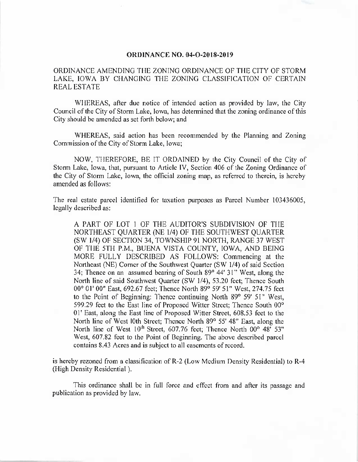## **ORDINANCE NO. 04-O-2018-2019**

ORDINANCE AMENDING THE ZONING ORDINANCE OF THE CITY OF STORM LAKE, IOWA BY CHANGING THE ZONING CLASSIFICATION OF CERTAIN REAL ESTATE

WHEREAS, after due notice of intended action as provided by law, the City Council of the City of Storm Lake, Iowa, has determined that the zoning ordinance of this City should be amended as set forth below; and

WHEREAS, said action has been recommended by the Planning and Zoning Commission of the City of Storm Lake, Iowa;

NOW, THEREFORE, BE IT ORDAINED by the City Council of the City of Storm Lake, Iowa, that, pursuant to Article IV, Section 406 of the Zoning Ordinance of the City of Storm Lake, Iowa, the official zoning map, as referred to therein, is hereby amended as follows:

The real estate parcel identified for taxation purposes as Parcel Number 103436005, legally described as:

A PART OF LOT 1 OF THE AUDITOR'S SUBDIVISION OF THE NORTHEAST QUARTER (NE 1/4) OF THE SOUTHWEST QUARTER (SW 1/4) OF SECTION 34, TOWNSHIP 91 NORTH, RANGE 37 WEST OF THE 5TH P.M., BUENA VISTA COUNTY, IOWA, AND BEING MORE FULLY DESCRIBED AS FOLLOWS: Commencing at the Northeast (NE) Corner of the Southwest Quarter (SW 1/4) of said Section 34; Thence on an assumed bearing of South 89° 44' 31" West, along the North line of said Southwest Quarter (SW 1/4), 53.20 feet; Thence South 00° 01' 00" East, 692.67 feet; Thence North 89° 59' 51" West, 274.75 feet to the Point of Beginning: Thence continuing North 89° 59' 51" West, 599.29 feet to the East line of Proposed Witter Street; Thence South 00° 01' East, along the East line of Proposed Witter Street, 608. 53 feet to the North line of West 10th Street; Thence North 89° 55' 48" East, along the North line of West 10<sup>th</sup> Street, 607.76 feet; Thence North 00° 48' 53" West, 607.82 feet to the Point of Beginning. The above described parcel contains 8. 43 Acres and is subject to all easements of record.

is hereby rezoned from a classification of R-2 (Low Medium Density Residential) to R-4 (High Density Residential).

This ordinance shall be in full force and effect from and after its passage and publication as provided by law.